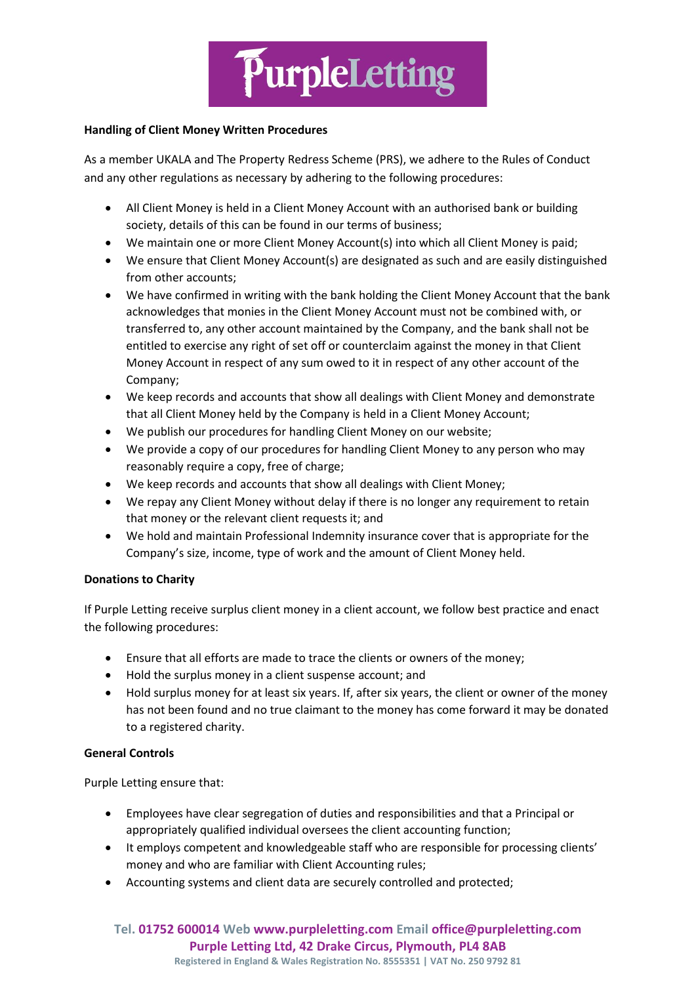

### **Handling of Client Money Written Procedures**

As a member UKALA and The Property Redress Scheme (PRS), we adhere to the Rules of Conduct and any other regulations as necessary by adhering to the following procedures:

- All Client Money is held in a Client Money Account with an authorised bank or building society, details of this can be found in our terms of business;
- We maintain one or more Client Money Account(s) into which all Client Money is paid;
- We ensure that Client Money Account(s) are designated as such and are easily distinguished from other accounts;
- We have confirmed in writing with the bank holding the Client Money Account that the bank acknowledges that monies in the Client Money Account must not be combined with, or transferred to, any other account maintained by the Company, and the bank shall not be entitled to exercise any right of set off or counterclaim against the money in that Client Money Account in respect of any sum owed to it in respect of any other account of the Company;
- We keep records and accounts that show all dealings with Client Money and demonstrate that all Client Money held by the Company is held in a Client Money Account;
- We publish our procedures for handling Client Money on our website;
- We provide a copy of our procedures for handling Client Money to any person who may reasonably require a copy, free of charge;
- We keep records and accounts that show all dealings with Client Money;
- We repay any Client Money without delay if there is no longer any requirement to retain that money or the relevant client requests it; and
- We hold and maintain Professional Indemnity insurance cover that is appropriate for the Company's size, income, type of work and the amount of Client Money held.

# **Donations to Charity**

If Purple Letting receive surplus client money in a client account, we follow best practice and enact the following procedures:

- Ensure that all efforts are made to trace the clients or owners of the money;
- Hold the surplus money in a client suspense account; and
- Hold surplus money for at least six years. If, after six years, the client or owner of the money has not been found and no true claimant to the money has come forward it may be donated to a registered charity.

# **General Controls**

Purple Letting ensure that:

- Employees have clear segregation of duties and responsibilities and that a Principal or appropriately qualified individual oversees the client accounting function;
- It employs competent and knowledgeable staff who are responsible for processing clients' money and who are familiar with Client Accounting rules;
- Accounting systems and client data are securely controlled and protected;

**Tel. 01752 600014 Web www.purpleletting.com Email office@purpleletting.com Purple Letting Ltd, 42 Drake Circus, Plymouth, PL4 8AB**

**Registered in England & Wales Registration No. 8555351 | VAT No. 250 9792 81**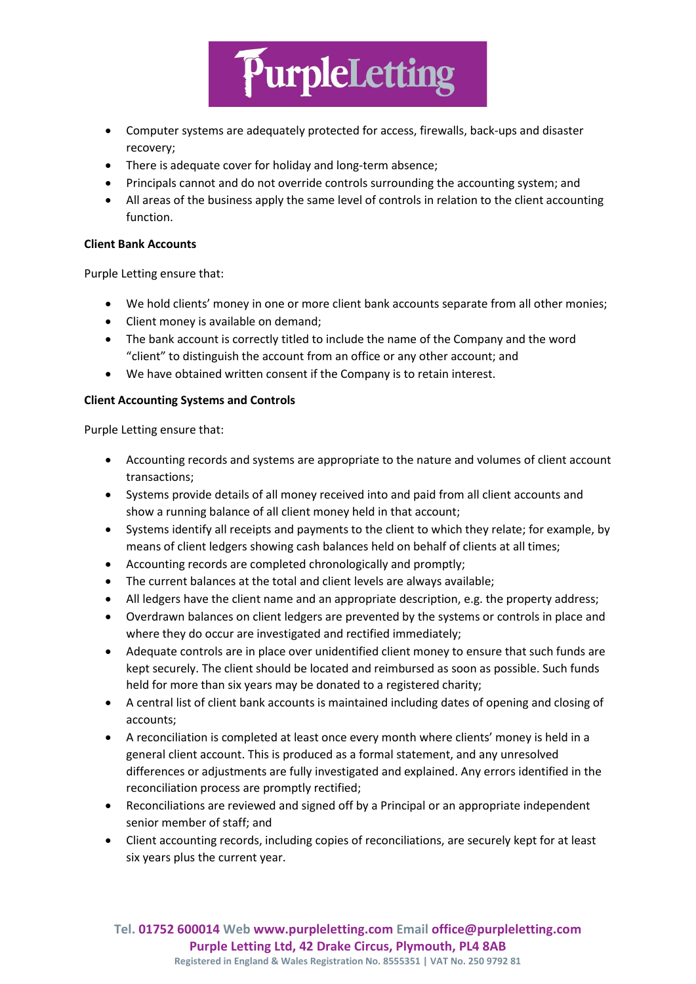

- Computer systems are adequately protected for access, firewalls, back-ups and disaster recovery;
- There is adequate cover for holiday and long-term absence;
- Principals cannot and do not override controls surrounding the accounting system; and
- All areas of the business apply the same level of controls in relation to the client accounting function.

## **Client Bank Accounts**

Purple Letting ensure that:

- We hold clients' money in one or more client bank accounts separate from all other monies;
- Client money is available on demand;
- The bank account is correctly titled to include the name of the Company and the word "client" to distinguish the account from an office or any other account; and
- We have obtained written consent if the Company is to retain interest.

## **Client Accounting Systems and Controls**

Purple Letting ensure that:

- Accounting records and systems are appropriate to the nature and volumes of client account transactions;
- Systems provide details of all money received into and paid from all client accounts and show a running balance of all client money held in that account;
- Systems identify all receipts and payments to the client to which they relate; for example, by means of client ledgers showing cash balances held on behalf of clients at all times;
- Accounting records are completed chronologically and promptly;
- The current balances at the total and client levels are always available;
- All ledgers have the client name and an appropriate description, e.g. the property address;
- Overdrawn balances on client ledgers are prevented by the systems or controls in place and where they do occur are investigated and rectified immediately;
- Adequate controls are in place over unidentified client money to ensure that such funds are kept securely. The client should be located and reimbursed as soon as possible. Such funds held for more than six years may be donated to a registered charity;
- A central list of client bank accounts is maintained including dates of opening and closing of accounts;
- A reconciliation is completed at least once every month where clients' money is held in a general client account. This is produced as a formal statement, and any unresolved differences or adjustments are fully investigated and explained. Any errors identified in the reconciliation process are promptly rectified;
- Reconciliations are reviewed and signed off by a Principal or an appropriate independent senior member of staff; and
- Client accounting records, including copies of reconciliations, are securely kept for at least six years plus the current year.

**Tel. 01752 600014 Web www.purpleletting.com Email office@purpleletting.com Purple Letting Ltd, 42 Drake Circus, Plymouth, PL4 8AB Registered in England & Wales Registration No. 8555351 | VAT No. 250 9792 81**